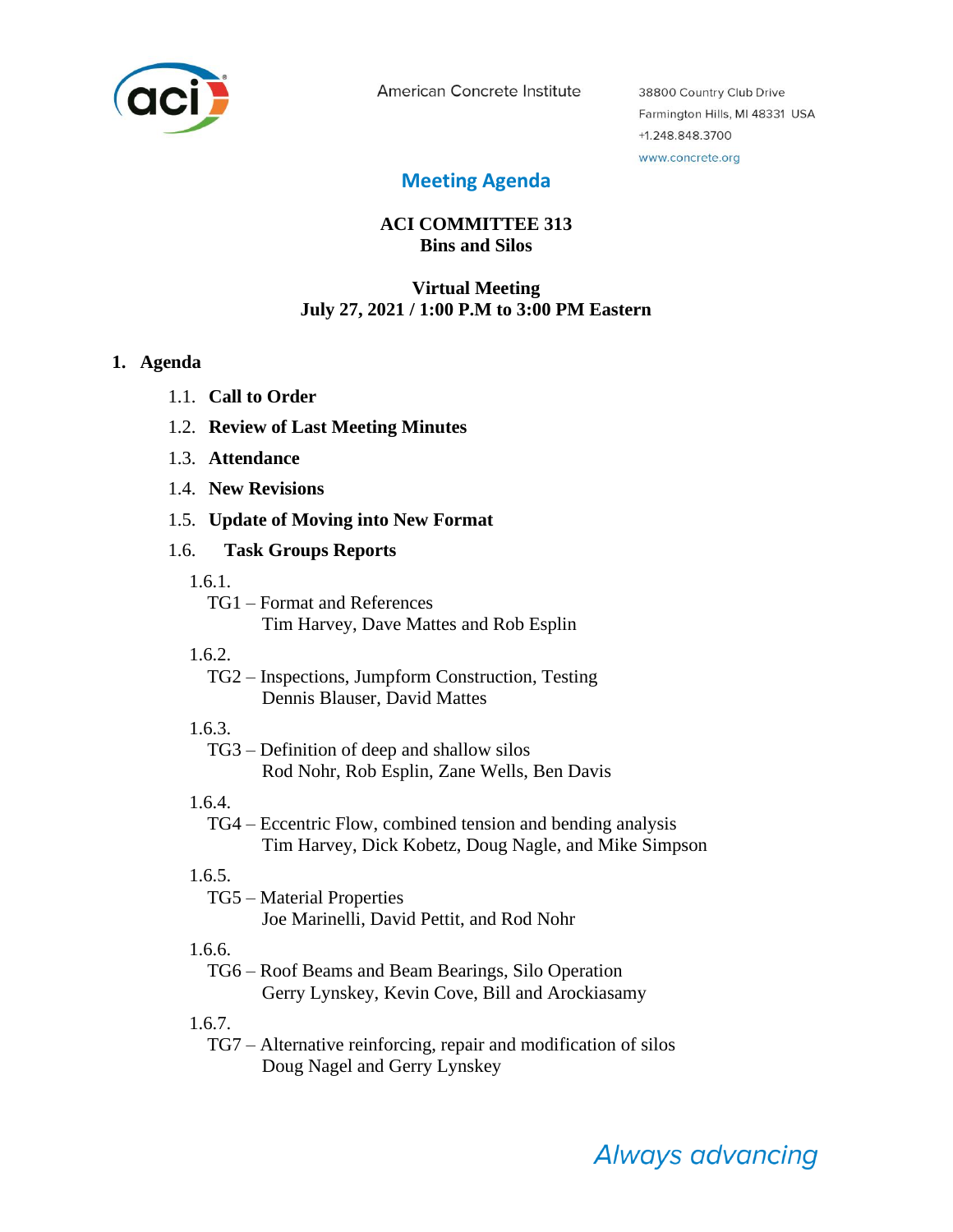

American Concrete Institute

38800 Country Club Drive Farmington Hills, MI 48331 USA +1.248.848.3700 www.concrete.org

# **Meeting Agenda**

## **ACI COMMITTEE 313 Bins and Silos**

### **Virtual Meeting July 27, 2021 / 1:00 P.M to 3:00 PM Eastern**

#### **1. Agenda**

- 1.1. **Call to Order**
- 1.2. **Review of Last Meeting Minutes**
- 1.3. **Attendance**
- 1.4. **New Revisions**
- 1.5. **Update of Moving into New Format**

#### 1.6. **Task Groups Reports**

- 1.6.1.
	- TG1 Format and References Tim Harvey, Dave Mattes and Rob Esplin
- 1.6.2.
	- TG2 Inspections, Jumpform Construction, Testing Dennis Blauser, David Mattes
- 1.6.3.

TG3 – Definition of deep and shallow silos Rod Nohr, Rob Esplin, Zane Wells, Ben Davis

1.6.4.

TG4 – Eccentric Flow, combined tension and bending analysis Tim Harvey, Dick Kobetz, Doug Nagle, and Mike Simpson

## 1.6.5.

TG5 – Material Properties Joe Marinelli, David Pettit, and Rod Nohr

1.6.6.

TG6 – Roof Beams and Beam Bearings, Silo Operation Gerry Lynskey, Kevin Cove, Bill and Arockiasamy

1.6.7.

TG7 – Alternative reinforcing, repair and modification of silos Doug Nagel and Gerry Lynskey